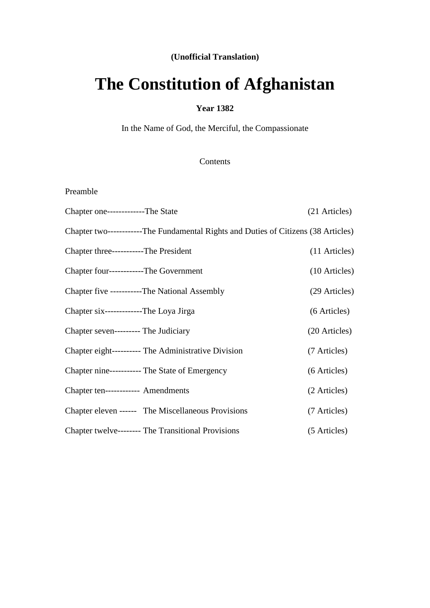**(Unofficial Translation)** 

# **The Constitution of Afghanistan**

### **Year 1382**

In the Name of God, the Merciful, the Compassionate

#### Contents

| Preamble                                 |                                                                                    |                         |
|------------------------------------------|------------------------------------------------------------------------------------|-------------------------|
| Chapter one--------------The State       |                                                                                    | (21 Articles)           |
|                                          | Chapter two------------The Fundamental Rights and Duties of Citizens (38 Articles) |                         |
| Chapter three------------The President   |                                                                                    | (11 Articles)           |
| Chapter four-------------The Government  |                                                                                    | $(10 \text{ Articles})$ |
|                                          | Chapter five -----------The National Assembly                                      | (29 Articles)           |
| Chapter six---------------The Loya Jirga |                                                                                    | (6 Articles)            |
| Chapter seven---------- The Judiciary    |                                                                                    | (20 Articles)           |
|                                          | Chapter eight---------- The Administrative Division                                | (7 Articles)            |
|                                          | Chapter nine------------ The State of Emergency                                    | (6 Articles)            |
| Chapter ten------------ Amendments       |                                                                                    | (2 Articles)            |
|                                          | Chapter eleven ------ The Miscellaneous Provisions                                 | (7 Articles)            |
|                                          | Chapter twelve-------- The Transitional Provisions                                 | (5 Articles)            |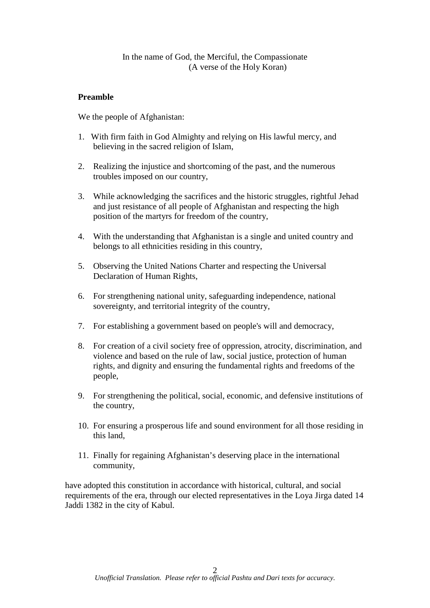### In the name of God, the Merciful, the Compassionate (A verse of the Holy Koran)

### **Preamble**

We the people of Afghanistan:

- 1. With firm faith in God Almighty and relying on His lawful mercy, and believing in the sacred religion of Islam,
- 2. Realizing the injustice and shortcoming of the past, and the numerous troubles imposed on our country,
- 3. While acknowledging the sacrifices and the historic struggles, rightful Jehad and just resistance of all people of Afghanistan and respecting the high position of the martyrs for freedom of the country,
- 4. With the understanding that Afghanistan is a single and united country and belongs to all ethnicities residing in this country,
- 5. Observing the United Nations Charter and respecting the Universal Declaration of Human Rights,
- 6. For strengthening national unity, safeguarding independence, national sovereignty, and territorial integrity of the country,
- 7. For establishing a government based on people's will and democracy,
- 8. For creation of a civil society free of oppression, atrocity, discrimination, and violence and based on the rule of law, social justice, protection of human rights, and dignity and ensuring the fundamental rights and freedoms of the people,
- 9. For strengthening the political, social, economic, and defensive institutions of the country,
- 10. For ensuring a prosperous life and sound environment for all those residing in this land,
- 11. Finally for regaining Afghanistan's deserving place in the international community,

have adopted this constitution in accordance with historical, cultural, and social requirements of the era, through our elected representatives in the Loya Jirga dated 14 Jaddi 1382 in the city of Kabul.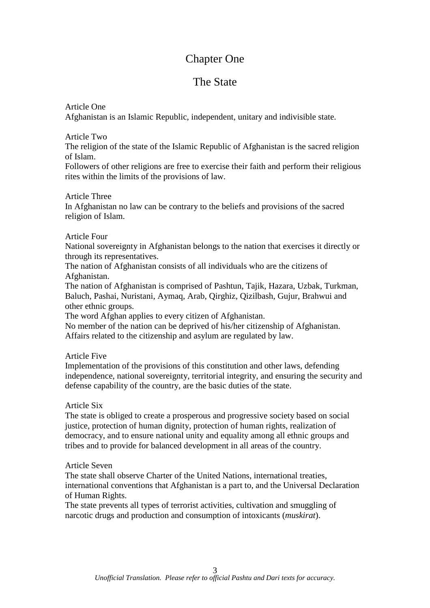# Chapter One

# The State

Article One Afghanistan is an Islamic Republic, independent, unitary and indivisible state.

Article Two

The religion of the state of the Islamic Republic of Afghanistan is the sacred religion of Islam.

Followers of other religions are free to exercise their faith and perform their religious rites within the limits of the provisions of law.

Article Three

In Afghanistan no law can be contrary to the beliefs and provisions of the sacred religion of Islam.

#### Article Four

National sovereignty in Afghanistan belongs to the nation that exercises it directly or through its representatives.

The nation of Afghanistan consists of all individuals who are the citizens of Afghanistan.

The nation of Afghanistan is comprised of Pashtun, Tajik, Hazara, Uzbak, Turkman, Baluch, Pashai, Nuristani, Aymaq, Arab, Qirghiz, Qizilbash, Gujur, Brahwui and other ethnic groups.

The word Afghan applies to every citizen of Afghanistan.

No member of the nation can be deprived of his/her citizenship of Afghanistan. Affairs related to the citizenship and asylum are regulated by law.

Article Five

Implementation of the provisions of this constitution and other laws, defending independence, national sovereignty, territorial integrity, and ensuring the security and defense capability of the country, are the basic duties of the state.

#### Article Six

The state is obliged to create a prosperous and progressive society based on social justice, protection of human dignity, protection of human rights, realization of democracy, and to ensure national unity and equality among all ethnic groups and tribes and to provide for balanced development in all areas of the country.

#### Article Seven

The state shall observe Charter of the United Nations, international treaties, international conventions that Afghanistan is a part to, and the Universal Declaration of Human Rights.

The state prevents all types of terrorist activities, cultivation and smuggling of narcotic drugs and production and consumption of intoxicants (*muskirat*).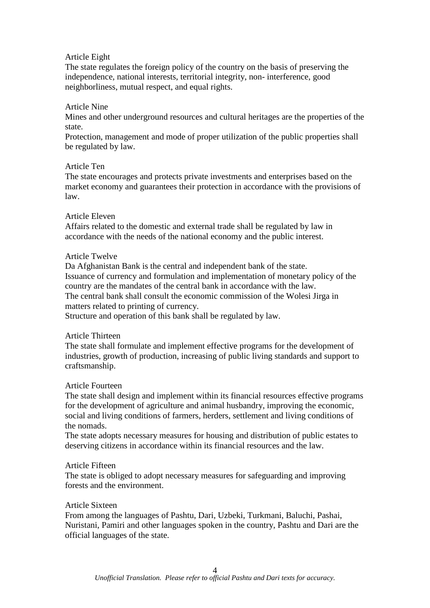#### Article Eight

The state regulates the foreign policy of the country on the basis of preserving the independence, national interests, territorial integrity, non- interference, good neighborliness, mutual respect, and equal rights.

#### Article Nine

Mines and other underground resources and cultural heritages are the properties of the state.

Protection, management and mode of proper utilization of the public properties shall be regulated by law.

#### Article Ten

The state encourages and protects private investments and enterprises based on the market economy and guarantees their protection in accordance with the provisions of law.

#### Article Eleven

Affairs related to the domestic and external trade shall be regulated by law in accordance with the needs of the national economy and the public interest.

#### Article Twelve

Da Afghanistan Bank is the central and independent bank of the state. Issuance of currency and formulation and implementation of monetary policy of the country are the mandates of the central bank in accordance with the law. The central bank shall consult the economic commission of the Wolesi Jirga in matters related to printing of currency.

Structure and operation of this bank shall be regulated by law.

#### Article Thirteen

The state shall formulate and implement effective programs for the development of industries, growth of production, increasing of public living standards and support to craftsmanship.

#### Article Fourteen

The state shall design and implement within its financial resources effective programs for the development of agriculture and animal husbandry, improving the economic, social and living conditions of farmers, herders, settlement and living conditions of the nomads.

The state adopts necessary measures for housing and distribution of public estates to deserving citizens in accordance within its financial resources and the law.

#### Article Fifteen

The state is obliged to adopt necessary measures for safeguarding and improving forests and the environment.

#### Article Sixteen

From among the languages of Pashtu, Dari, Uzbeki, Turkmani, Baluchi, Pashai, Nuristani, Pamiri and other languages spoken in the country, Pashtu and Dari are the official languages of the state.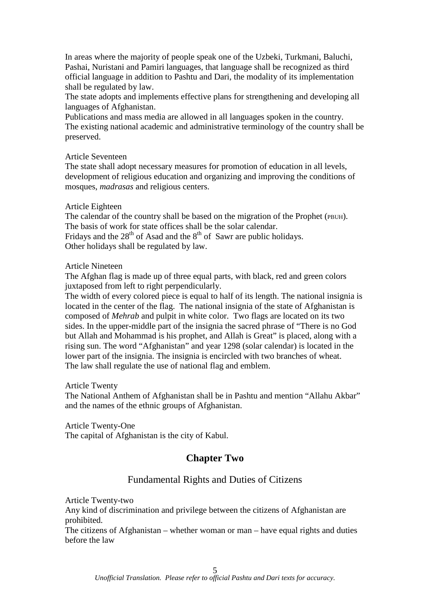In areas where the majority of people speak one of the Uzbeki, Turkmani, Baluchi, Pashai, Nuristani and Pamiri languages, that language shall be recognized as third official language in addition to Pashtu and Dari, the modality of its implementation shall be regulated by law.

The state adopts and implements effective plans for strengthening and developing all languages of Afghanistan.

Publications and mass media are allowed in all languages spoken in the country. The existing national academic and administrative terminology of the country shall be preserved.

#### Article Seventeen

The state shall adopt necessary measures for promotion of education in all levels, development of religious education and organizing and improving the conditions of mosques, *madrasas* and religious centers.

#### Article Eighteen

The calendar of the country shall be based on the migration of the Prophet (PBUH). The basis of work for state offices shall be the solar calendar. Fridays and the  $28<sup>th</sup>$  of Asad and the  $8<sup>th</sup>$  of Sawr are public holidays.

Other holidays shall be regulated by law.

#### Article Nineteen

The Afghan flag is made up of three equal parts, with black, red and green colors juxtaposed from left to right perpendicularly.

The width of every colored piece is equal to half of its length. The national insignia is located in the center of the flag. The national insignia of the state of Afghanistan is composed of *Mehrab* and pulpit in white color. Two flags are located on its two sides. In the upper-middle part of the insignia the sacred phrase of "There is no God but Allah and Mohammad is his prophet, and Allah is Great" is placed, along with a rising sun. The word "Afghanistan" and year 1298 (solar calendar) is located in the lower part of the insignia. The insignia is encircled with two branches of wheat. The law shall regulate the use of national flag and emblem.

#### Article Twenty

The National Anthem of Afghanistan shall be in Pashtu and mention "Allahu Akbar" and the names of the ethnic groups of Afghanistan.

Article Twenty-One The capital of Afghanistan is the city of Kabul.

#### **Chapter Two**

# Fundamental Rights and Duties of Citizens

Article Twenty-two

Any kind of discrimination and privilege between the citizens of Afghanistan are prohibited.

The citizens of Afghanistan – whether woman or man – have equal rights and duties before the law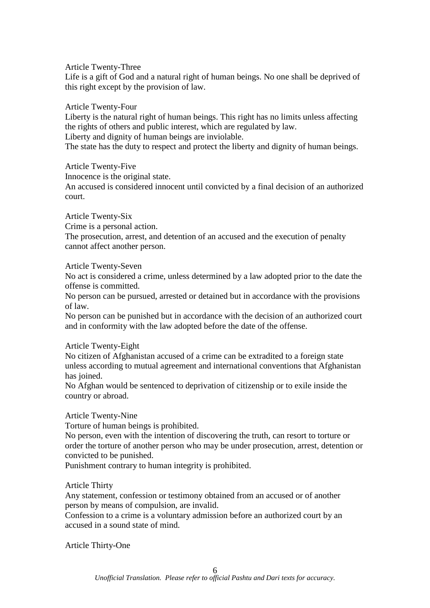Article Twenty-Three

Life is a gift of God and a natural right of human beings. No one shall be deprived of this right except by the provision of law.

Article Twenty-Four

Liberty is the natural right of human beings. This right has no limits unless affecting the rights of others and public interest, which are regulated by law. Liberty and dignity of human beings are inviolable.

The state has the duty to respect and protect the liberty and dignity of human beings.

Article Twenty-Five

Innocence is the original state.

An accused is considered innocent until convicted by a final decision of an authorized court.

Article Twenty-Six Crime is a personal action.

The prosecution, arrest, and detention of an accused and the execution of penalty cannot affect another person.

Article Twenty-Seven

No act is considered a crime, unless determined by a law adopted prior to the date the offense is committed.

No person can be pursued, arrested or detained but in accordance with the provisions of law.

No person can be punished but in accordance with the decision of an authorized court and in conformity with the law adopted before the date of the offense.

Article Twenty-Eight

No citizen of Afghanistan accused of a crime can be extradited to a foreign state unless according to mutual agreement and international conventions that Afghanistan has *ioined*.

No Afghan would be sentenced to deprivation of citizenship or to exile inside the country or abroad.

Article Twenty-Nine

Torture of human beings is prohibited.

No person, even with the intention of discovering the truth, can resort to torture or order the torture of another person who may be under prosecution, arrest, detention or convicted to be punished.

Punishment contrary to human integrity is prohibited.

Article Thirty

Any statement, confession or testimony obtained from an accused or of another person by means of compulsion, are invalid.

Confession to a crime is a voluntary admission before an authorized court by an accused in a sound state of mind.

Article Thirty-One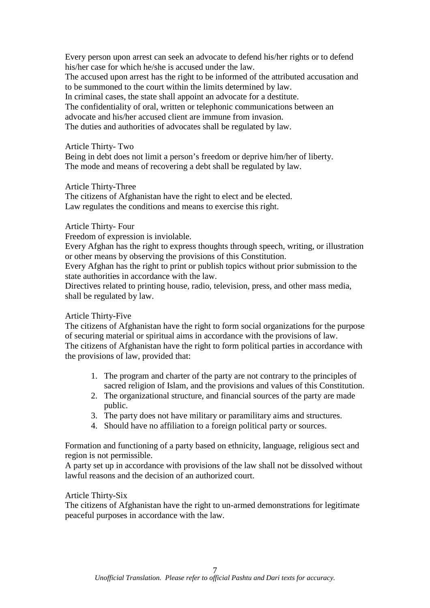Every person upon arrest can seek an advocate to defend his/her rights or to defend his/her case for which he/she is accused under the law.

The accused upon arrest has the right to be informed of the attributed accusation and to be summoned to the court within the limits determined by law.

In criminal cases, the state shall appoint an advocate for a destitute.

The confidentiality of oral, written or telephonic communications between an advocate and his/her accused client are immune from invasion.

The duties and authorities of advocates shall be regulated by law.

#### Article Thirty- Two

Being in debt does not limit a person's freedom or deprive him/her of liberty. The mode and means of recovering a debt shall be regulated by law.

#### Article Thirty-Three

The citizens of Afghanistan have the right to elect and be elected. Law regulates the conditions and means to exercise this right.

#### Article Thirty- Four

Freedom of expression is inviolable.

Every Afghan has the right to express thoughts through speech, writing, or illustration or other means by observing the provisions of this Constitution.

Every Afghan has the right to print or publish topics without prior submission to the state authorities in accordance with the law.

Directives related to printing house, radio, television, press, and other mass media, shall be regulated by law.

#### Article Thirty-Five

The citizens of Afghanistan have the right to form social organizations for the purpose of securing material or spiritual aims in accordance with the provisions of law. The citizens of Afghanistan have the right to form political parties in accordance with the provisions of law, provided that:

- 1. The program and charter of the party are not contrary to the principles of sacred religion of Islam, and the provisions and values of this Constitution.
- 2. The organizational structure, and financial sources of the party are made public.
- 3. The party does not have military or paramilitary aims and structures.
- 4. Should have no affiliation to a foreign political party or sources.

Formation and functioning of a party based on ethnicity, language, religious sect and region is not permissible.

A party set up in accordance with provisions of the law shall not be dissolved without lawful reasons and the decision of an authorized court.

#### Article Thirty-Six

The citizens of Afghanistan have the right to un-armed demonstrations for legitimate peaceful purposes in accordance with the law.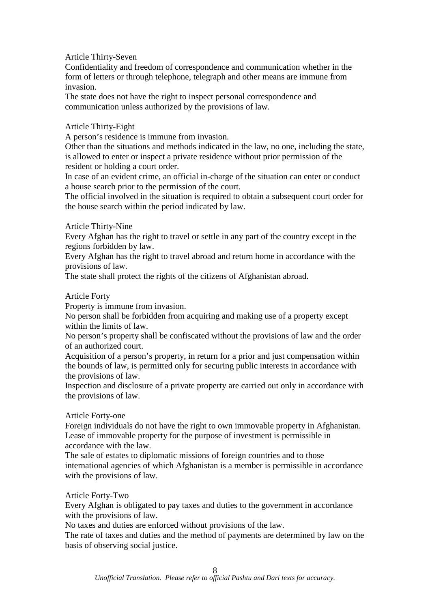Article Thirty-Seven

Confidentiality and freedom of correspondence and communication whether in the form of letters or through telephone, telegraph and other means are immune from invasion.

The state does not have the right to inspect personal correspondence and communication unless authorized by the provisions of law.

#### Article Thirty-Eight

A person's residence is immune from invasion.

Other than the situations and methods indicated in the law, no one, including the state, is allowed to enter or inspect a private residence without prior permission of the resident or holding a court order.

In case of an evident crime, an official in-charge of the situation can enter or conduct a house search prior to the permission of the court.

The official involved in the situation is required to obtain a subsequent court order for the house search within the period indicated by law.

Article Thirty-Nine

Every Afghan has the right to travel or settle in any part of the country except in the regions forbidden by law.

Every Afghan has the right to travel abroad and return home in accordance with the provisions of law.

The state shall protect the rights of the citizens of Afghanistan abroad.

Article Forty

Property is immune from invasion.

No person shall be forbidden from acquiring and making use of a property except within the limits of law.

No person's property shall be confiscated without the provisions of law and the order of an authorized court.

Acquisition of a person's property, in return for a prior and just compensation within the bounds of law, is permitted only for securing public interests in accordance with the provisions of law.

Inspection and disclosure of a private property are carried out only in accordance with the provisions of law.

Article Forty-one

Foreign individuals do not have the right to own immovable property in Afghanistan. Lease of immovable property for the purpose of investment is permissible in accordance with the law.

The sale of estates to diplomatic missions of foreign countries and to those international agencies of which Afghanistan is a member is permissible in accordance with the provisions of law.

Article Forty-Two

Every Afghan is obligated to pay taxes and duties to the government in accordance with the provisions of law.

No taxes and duties are enforced without provisions of the law.

The rate of taxes and duties and the method of payments are determined by law on the basis of observing social justice.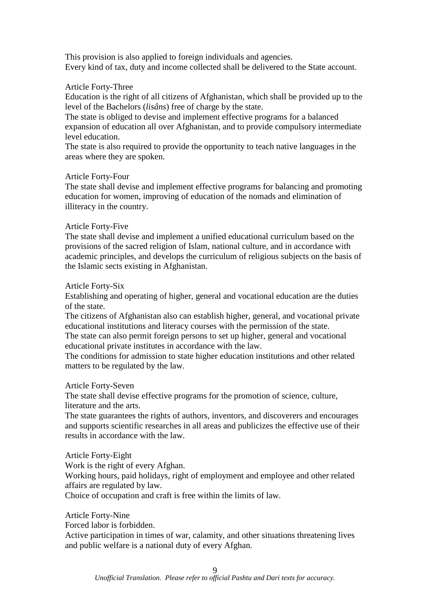This provision is also applied to foreign individuals and agencies. Every kind of tax, duty and income collected shall be delivered to the State account.

#### Article Forty-Three

Education is the right of all citizens of Afghanistan, which shall be provided up to the level of the Bachelors (*lisâns*) free of charge by the state.

The state is obliged to devise and implement effective programs for a balanced expansion of education all over Afghanistan, and to provide compulsory intermediate level education.

The state is also required to provide the opportunity to teach native languages in the areas where they are spoken.

#### Article Forty-Four

The state shall devise and implement effective programs for balancing and promoting education for women, improving of education of the nomads and elimination of illiteracy in the country.

#### Article Forty-Five

The state shall devise and implement a unified educational curriculum based on the provisions of the sacred religion of Islam, national culture, and in accordance with academic principles, and develops the curriculum of religious subjects on the basis of the Islamic sects existing in Afghanistan.

#### Article Forty-Six

Establishing and operating of higher, general and vocational education are the duties of the state.

The citizens of Afghanistan also can establish higher, general, and vocational private educational institutions and literacy courses with the permission of the state.

The state can also permit foreign persons to set up higher, general and vocational educational private institutes in accordance with the law.

The conditions for admission to state higher education institutions and other related matters to be regulated by the law.

#### Article Forty-Seven

The state shall devise effective programs for the promotion of science, culture, literature and the arts.

The state guarantees the rights of authors, inventors, and discoverers and encourages and supports scientific researches in all areas and publicizes the effective use of their results in accordance with the law.

Article Forty-Eight

Work is the right of every Afghan.

Working hours, paid holidays, right of employment and employee and other related affairs are regulated by law.

Choice of occupation and craft is free within the limits of law.

Article Forty-Nine

Forced labor is forbidden.

Active participation in times of war, calamity, and other situations threatening lives and public welfare is a national duty of every Afghan.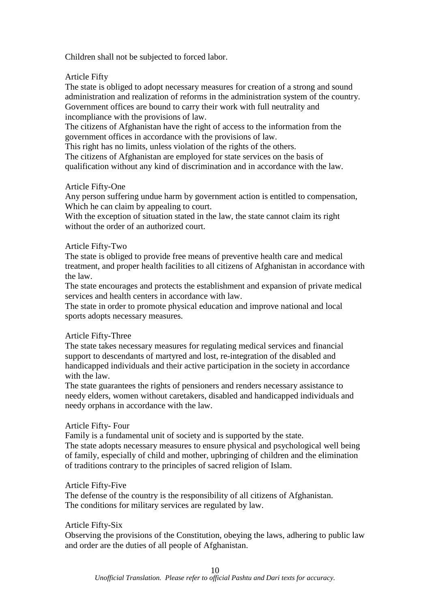Children shall not be subjected to forced labor.

#### Article Fifty

The state is obliged to adopt necessary measures for creation of a strong and sound administration and realization of reforms in the administration system of the country. Government offices are bound to carry their work with full neutrality and incompliance with the provisions of law.

The citizens of Afghanistan have the right of access to the information from the government offices in accordance with the provisions of law.

This right has no limits, unless violation of the rights of the others. The citizens of Afghanistan are employed for state services on the basis of

qualification without any kind of discrimination and in accordance with the law.

#### Article Fifty-One

Any person suffering undue harm by government action is entitled to compensation, Which he can claim by appealing to court.

With the exception of situation stated in the law, the state cannot claim its right without the order of an authorized court.

#### Article Fifty-Two

The state is obliged to provide free means of preventive health care and medical treatment, and proper health facilities to all citizens of Afghanistan in accordance with the law.

The state encourages and protects the establishment and expansion of private medical services and health centers in accordance with law.

The state in order to promote physical education and improve national and local sports adopts necessary measures.

#### Article Fifty-Three

The state takes necessary measures for regulating medical services and financial support to descendants of martyred and lost, re-integration of the disabled and handicapped individuals and their active participation in the society in accordance with the law.

The state guarantees the rights of pensioners and renders necessary assistance to needy elders, women without caretakers, disabled and handicapped individuals and needy orphans in accordance with the law.

#### Article Fifty- Four

Family is a fundamental unit of society and is supported by the state. The state adopts necessary measures to ensure physical and psychological well being of family, especially of child and mother, upbringing of children and the elimination of traditions contrary to the principles of sacred religion of Islam.

#### Article Fifty-Five

The defense of the country is the responsibility of all citizens of Afghanistan. The conditions for military services are regulated by law.

#### Article Fifty-Six

Observing the provisions of the Constitution, obeying the laws, adhering to public law and order are the duties of all people of Afghanistan.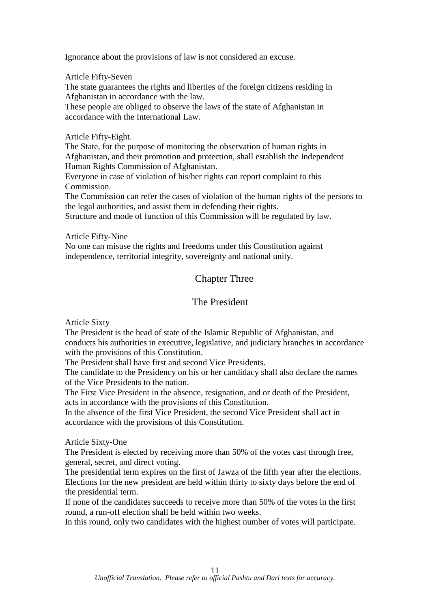Ignorance about the provisions of law is not considered an excuse.

Article Fifty-Seven

The state guarantees the rights and liberties of the foreign citizens residing in Afghanistan in accordance with the law.

These people are obliged to observe the laws of the state of Afghanistan in accordance with the International Law.

Article Fifty-Eight.

The State, for the purpose of monitoring the observation of human rights in Afghanistan, and their promotion and protection, shall establish the Independent Human Rights Commission of Afghanistan.

Everyone in case of violation of his/her rights can report complaint to this Commission.

The Commission can refer the cases of violation of the human rights of the persons to the legal authorities, and assist them in defending their rights.

Structure and mode of function of this Commission will be regulated by law.

Article Fifty-Nine

No one can misuse the rights and freedoms under this Constitution against independence, territorial integrity, sovereignty and national unity.

# Chapter Three

# The President

Article Sixty

The President is the head of state of the Islamic Republic of Afghanistan, and conducts his authorities in executive, legislative, and judiciary branches in accordance with the provisions of this Constitution.

The President shall have first and second Vice Presidents.

The candidate to the Presidency on his or her candidacy shall also declare the names of the Vice Presidents to the nation.

The First Vice President in the absence, resignation, and or death of the President, acts in accordance with the provisions of this Constitution.

In the absence of the first Vice President, the second Vice President shall act in accordance with the provisions of this Constitution.

Article Sixty-One

The President is elected by receiving more than 50% of the votes cast through free, general, secret, and direct voting.

The presidential term expires on the first of Jawza of the fifth year after the elections. Elections for the new president are held within thirty to sixty days before the end of the presidential term.

If none of the candidates succeeds to receive more than 50% of the votes in the first round, a run-off election shall be held within two weeks.

In this round, only two candidates with the highest number of votes will participate.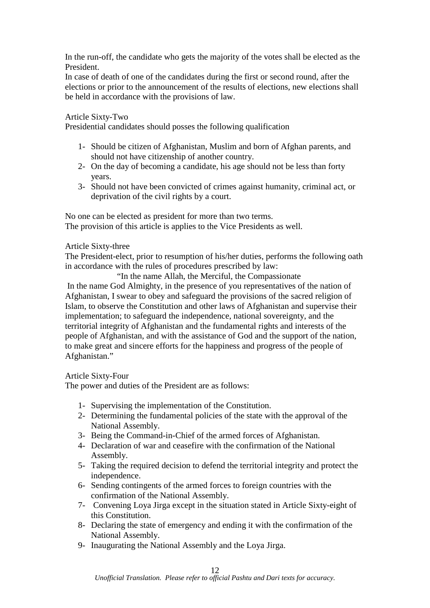In the run-off, the candidate who gets the majority of the votes shall be elected as the President.

In case of death of one of the candidates during the first or second round, after the elections or prior to the announcement of the results of elections, new elections shall be held in accordance with the provisions of law.

Article Sixty-Two

Presidential candidates should posses the following qualification

- 1- Should be citizen of Afghanistan, Muslim and born of Afghan parents, and should not have citizenship of another country.
- 2- On the day of becoming a candidate, his age should not be less than forty years.
- 3- Should not have been convicted of crimes against humanity, criminal act, or deprivation of the civil rights by a court.

No one can be elected as president for more than two terms. The provision of this article is applies to the Vice Presidents as well.

#### Article Sixty-three

The President-elect, prior to resumption of his/her duties, performs the following oath in accordance with the rules of procedures prescribed by law:

 "In the name Allah, the Merciful, the Compassionate In the name God Almighty, in the presence of you representatives of the nation of Afghanistan, I swear to obey and safeguard the provisions of the sacred religion of Islam, to observe the Constitution and other laws of Afghanistan and supervise their implementation; to safeguard the independence, national sovereignty, and the territorial integrity of Afghanistan and the fundamental rights and interests of the people of Afghanistan, and with the assistance of God and the support of the nation, to make great and sincere efforts for the happiness and progress of the people of Afghanistan."

### Article Sixty-Four

The power and duties of the President are as follows:

- 1- Supervising the implementation of the Constitution.
- 2- Determining the fundamental policies of the state with the approval of the National Assembly.
- 3- Being the Command-in-Chief of the armed forces of Afghanistan.
- 4- Declaration of war and ceasefire with the confirmation of the National Assembly.
- 5- Taking the required decision to defend the territorial integrity and protect the independence.
- 6- Sending contingents of the armed forces to foreign countries with the confirmation of the National Assembly.
- 7- Convening Loya Jirga except in the situation stated in Article Sixty-eight of this Constitution.
- 8- Declaring the state of emergency and ending it with the confirmation of the National Assembly.
- 9- Inaugurating the National Assembly and the Loya Jirga.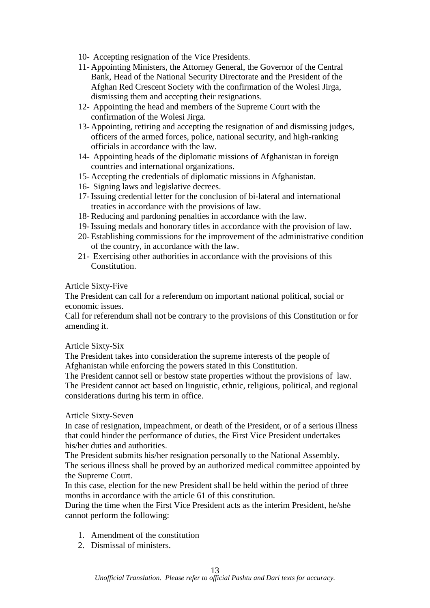- 10- Accepting resignation of the Vice Presidents.
- 11- Appointing Ministers, the Attorney General, the Governor of the Central Bank, Head of the National Security Directorate and the President of the Afghan Red Crescent Society with the confirmation of the Wolesi Jirga, dismissing them and accepting their resignations.
- 12- Appointing the head and members of the Supreme Court with the confirmation of the Wolesi Jirga.
- 13- Appointing, retiring and accepting the resignation of and dismissing judges, officers of the armed forces, police, national security, and high-ranking officials in accordance with the law.
- 14- Appointing heads of the diplomatic missions of Afghanistan in foreign countries and international organizations.
- 15- Accepting the credentials of diplomatic missions in Afghanistan.
- 16- Signing laws and legislative decrees.
- 17- Issuing credential letter for the conclusion of bi-lateral and international treaties in accordance with the provisions of law.
- 18- Reducing and pardoning penalties in accordance with the law.
- 19- Issuing medals and honorary titles in accordance with the provision of law.
- 20- Establishing commissions for the improvement of the administrative condition of the country, in accordance with the law.
- 21- Exercising other authorities in accordance with the provisions of this Constitution.

#### Article Sixty-Five

The President can call for a referendum on important national political, social or economic issues.

Call for referendum shall not be contrary to the provisions of this Constitution or for amending it.

#### Article Sixty-Six

The President takes into consideration the supreme interests of the people of Afghanistan while enforcing the powers stated in this Constitution.

The President cannot sell or bestow state properties without the provisions of law. The President cannot act based on linguistic, ethnic, religious, political, and regional considerations during his term in office.

#### Article Sixty-Seven

In case of resignation, impeachment, or death of the President, or of a serious illness that could hinder the performance of duties, the First Vice President undertakes his/her duties and authorities.

The President submits his/her resignation personally to the National Assembly. The serious illness shall be proved by an authorized medical committee appointed by the Supreme Court.

In this case, election for the new President shall be held within the period of three months in accordance with the article 61 of this constitution.

During the time when the First Vice President acts as the interim President, he/she cannot perform the following:

- 1. Amendment of the constitution
- 2. Dismissal of ministers.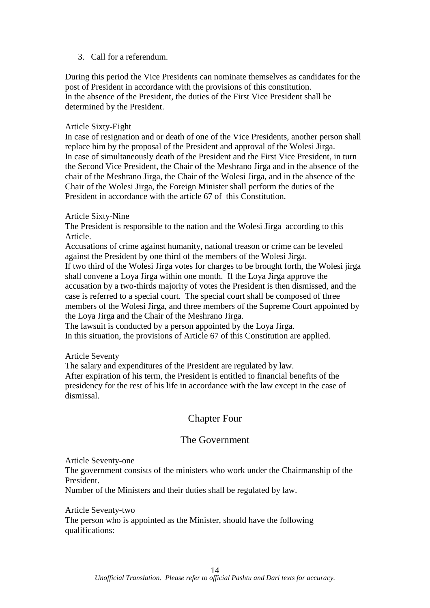#### 3. Call for a referendum.

During this period the Vice Presidents can nominate themselves as candidates for the post of President in accordance with the provisions of this constitution. In the absence of the President, the duties of the First Vice President shall be determined by the President.

#### Article Sixty-Eight

In case of resignation and or death of one of the Vice Presidents, another person shall replace him by the proposal of the President and approval of the Wolesi Jirga. In case of simultaneously death of the President and the First Vice President, in turn the Second Vice President, the Chair of the Meshrano Jirga and in the absence of the chair of the Meshrano Jirga, the Chair of the Wolesi Jirga, and in the absence of the Chair of the Wolesi Jirga, the Foreign Minister shall perform the duties of the President in accordance with the article 67 of this Constitution.

#### Article Sixty-Nine

The President is responsible to the nation and the Wolesi Jirga according to this Article.

Accusations of crime against humanity, national treason or crime can be leveled against the President by one third of the members of the Wolesi Jirga. If two third of the Wolesi Jirga votes for charges to be brought forth, the Wolesi jirga shall convene a Loya Jirga within one month. If the Loya Jirga approve the accusation by a two-thirds majority of votes the President is then dismissed, and the case is referred to a special court. The special court shall be composed of three members of the Wolesi Jirga, and three members of the Supreme Court appointed by the Loya Jirga and the Chair of the Meshrano Jirga.

The lawsuit is conducted by a person appointed by the Loya Jirga. In this situation, the provisions of Article 67 of this Constitution are applied.

#### Article Seventy

The salary and expenditures of the President are regulated by law. After expiration of his term, the President is entitled to financial benefits of the presidency for the rest of his life in accordance with the law except in the case of dismissal.

# Chapter Four

### The Government

Article Seventy-one

The government consists of the ministers who work under the Chairmanship of the President.

Number of the Ministers and their duties shall be regulated by law.

Article Seventy-two The person who is appointed as the Minister, should have the following qualifications: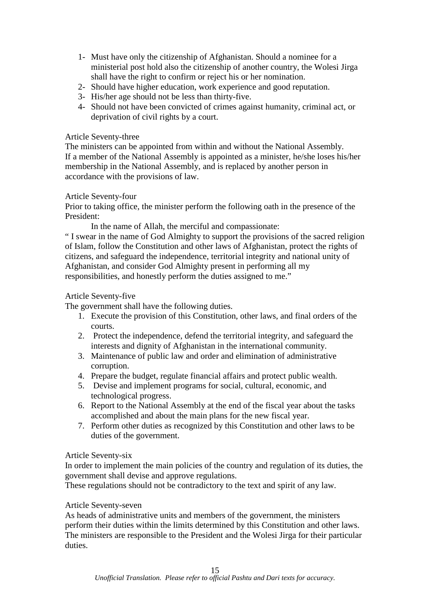- 1- Must have only the citizenship of Afghanistan. Should a nominee for a ministerial post hold also the citizenship of another country, the Wolesi Jirga shall have the right to confirm or reject his or her nomination.
- 2- Should have higher education, work experience and good reputation.
- 3- His/her age should not be less than thirty-five.
- 4- Should not have been convicted of crimes against humanity, criminal act, or deprivation of civil rights by a court.

#### Article Seventy-three

The ministers can be appointed from within and without the National Assembly. If a member of the National Assembly is appointed as a minister, he/she loses his/her membership in the National Assembly, and is replaced by another person in accordance with the provisions of law.

#### Article Seventy-four

Prior to taking office, the minister perform the following oath in the presence of the President:

In the name of Allah, the merciful and compassionate:

" I swear in the name of God Almighty to support the provisions of the sacred religion of Islam, follow the Constitution and other laws of Afghanistan, protect the rights of citizens, and safeguard the independence, territorial integrity and national unity of Afghanistan, and consider God Almighty present in performing all my responsibilities, and honestly perform the duties assigned to me."

#### Article Seventy-five

The government shall have the following duties.

- 1. Execute the provision of this Constitution, other laws, and final orders of the courts.
- 2. Protect the independence, defend the territorial integrity, and safeguard the interests and dignity of Afghanistan in the international community.
- 3. Maintenance of public law and order and elimination of administrative corruption.
- 4. Prepare the budget, regulate financial affairs and protect public wealth.
- 5. Devise and implement programs for social, cultural, economic, and technological progress.
- 6. Report to the National Assembly at the end of the fiscal year about the tasks accomplished and about the main plans for the new fiscal year.
- 7. Perform other duties as recognized by this Constitution and other laws to be duties of the government.

### Article Seventy-six

In order to implement the main policies of the country and regulation of its duties, the government shall devise and approve regulations.

These regulations should not be contradictory to the text and spirit of any law.

#### Article Seventy-seven

As heads of administrative units and members of the government, the ministers perform their duties within the limits determined by this Constitution and other laws. The ministers are responsible to the President and the Wolesi Jirga for their particular duties.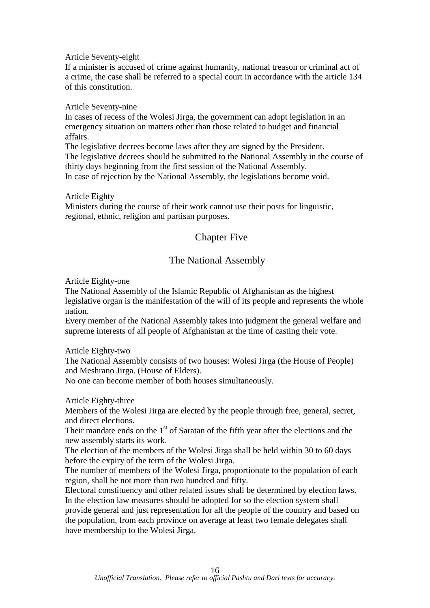Article Seventy-eight

If a minister is accused of crime against humanity, national treason or criminal act of a crime, the case shall be referred to a special court in accordance with the article 134 of this constitution.

Article Seventy-nine

In cases of recess of the Wolesi Jirga, the government can adopt legislation in an emergency situation on matters other than those related to budget and financial affairs.

The legislative decrees become laws after they are signed by the President. The legislative decrees should be submitted to the National Assembly in the course of thirty days beginning from the first session of the National Assembly. In case of rejection by the National Assembly, the legislations become void.

Article Eighty

Ministers during the course of their work cannot use their posts for linguistic, regional, ethnic, religion and partisan purposes.

# Chapter Five

# The National Assembly

Article Eighty-one

The National Assembly of the Islamic Republic of Afghanistan as the highest legislative organ is the manifestation of the will of its people and represents the whole nation.

Every member of the National Assembly takes into judgment the general welfare and supreme interests of all people of Afghanistan at the time of casting their vote.

Article Eighty-two

The National Assembly consists of two houses: Wolesi Jirga (the House of People) and Meshrano Jirga. (House of Elders).

No one can become member of both houses simultaneously.

Article Eighty-three

Members of the Wolesi Jirga are elected by the people through free, general, secret, and direct elections.

Their mandate ends on the  $1<sup>st</sup>$  of Saratan of the fifth year after the elections and the new assembly starts its work.

The election of the members of the Wolesi Jirga shall be held within 30 to 60 days before the expiry of the term of the Wolesi Jirga.

The number of members of the Wolesi Jirga, proportionate to the population of each region, shall be not more than two hundred and fifty.

Electoral constituency and other related issues shall be determined by election laws. In the election law measures should be adopted for so the election system shall provide general and just representation for all the people of the country and based on the population, from each province on average at least two female delegates shall have membership to the Wolesi Jirga.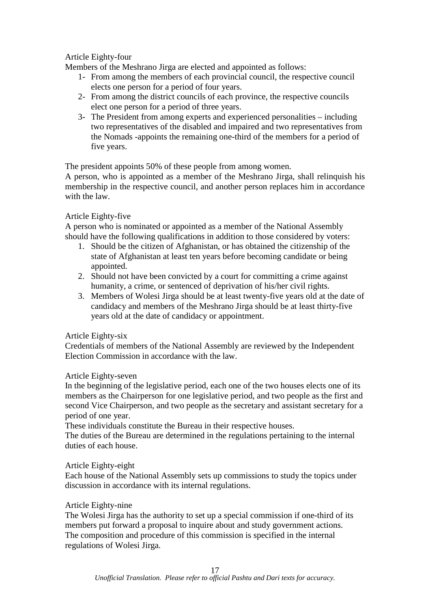#### Article Eighty-four

Members of the Meshrano Jirga are elected and appointed as follows:

- 1- From among the members of each provincial council, the respective council elects one person for a period of four years.
- 2- From among the district councils of each province, the respective councils elect one person for a period of three years.
- 3- The President from among experts and experienced personalities including two representatives of the disabled and impaired and two representatives from the Nomads -appoints the remaining one-third of the members for a period of five years.

The president appoints 50% of these people from among women.

A person, who is appointed as a member of the Meshrano Jirga, shall relinquish his membership in the respective council, and another person replaces him in accordance with the law.

#### Article Eighty-five

A person who is nominated or appointed as a member of the National Assembly should have the following qualifications in addition to those considered by voters:

- 1. Should be the citizen of Afghanistan, or has obtained the citizenship of the state of Afghanistan at least ten years before becoming candidate or being appointed.
- 2. Should not have been convicted by a court for committing a crime against humanity, a crime, or sentenced of deprivation of his/her civil rights.
- 3. Members of Wolesi Jirga should be at least twenty-five years old at the date of candidacy and members of the Meshrano Jirga should be at least thirty-five years old at the date of candidacy or appointment.

#### Article Eighty-six

Credentials of members of the National Assembly are reviewed by the Independent Election Commission in accordance with the law.

#### Article Eighty-seven

In the beginning of the legislative period, each one of the two houses elects one of its members as the Chairperson for one legislative period, and two people as the first and second Vice Chairperson, and two people as the secretary and assistant secretary for a period of one year.

These individuals constitute the Bureau in their respective houses.

The duties of the Bureau are determined in the regulations pertaining to the internal duties of each house.

#### Article Eighty-eight

Each house of the National Assembly sets up commissions to study the topics under discussion in accordance with its internal regulations.

#### Article Eighty-nine

The Wolesi Jirga has the authority to set up a special commission if one-third of its members put forward a proposal to inquire about and study government actions. The composition and procedure of this commission is specified in the internal regulations of Wolesi Jirga.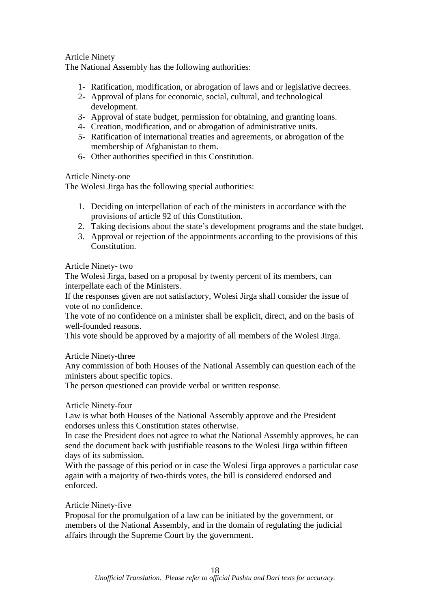#### Article Ninety

The National Assembly has the following authorities:

- 1- Ratification, modification, or abrogation of laws and or legislative decrees.
- 2- Approval of plans for economic, social, cultural, and technological development.
- 3- Approval of state budget, permission for obtaining, and granting loans.
- 4- Creation, modification, and or abrogation of administrative units.
- 5- Ratification of international treaties and agreements, or abrogation of the membership of Afghanistan to them.
- 6- Other authorities specified in this Constitution.

#### Article Ninety-one

The Wolesi Jirga has the following special authorities:

- 1. Deciding on interpellation of each of the ministers in accordance with the provisions of article 92 of this Constitution.
- 2. Taking decisions about the state's development programs and the state budget.
- 3. Approval or rejection of the appointments according to the provisions of this Constitution.

#### Article Ninety- two

The Wolesi Jirga, based on a proposal by twenty percent of its members, can interpellate each of the Ministers.

If the responses given are not satisfactory, Wolesi Jirga shall consider the issue of vote of no confidence.

The vote of no confidence on a minister shall be explicit, direct, and on the basis of well-founded reasons.

This vote should be approved by a majority of all members of the Wolesi Jirga.

#### Article Ninety-three

Any commission of both Houses of the National Assembly can question each of the ministers about specific topics.

The person questioned can provide verbal or written response.

#### Article Ninety-four

Law is what both Houses of the National Assembly approve and the President endorses unless this Constitution states otherwise.

In case the President does not agree to what the National Assembly approves, he can send the document back with justifiable reasons to the Wolesi Jirga within fifteen days of its submission.

With the passage of this period or in case the Wolesi Jirga approves a particular case again with a majority of two-thirds votes, the bill is considered endorsed and enforced.

#### Article Ninety-five

Proposal for the promulgation of a law can be initiated by the government, or members of the National Assembly, and in the domain of regulating the judicial affairs through the Supreme Court by the government.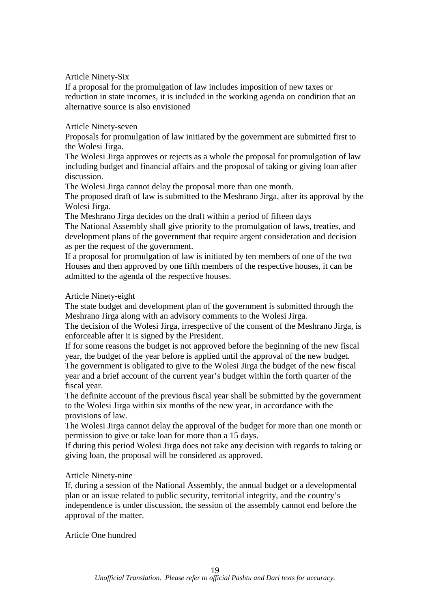#### Article Ninety-Six

If a proposal for the promulgation of law includes imposition of new taxes or reduction in state incomes, it is included in the working agenda on condition that an alternative source is also envisioned

#### Article Ninety-seven

Proposals for promulgation of law initiated by the government are submitted first to the Wolesi Jirga.

The Wolesi Jirga approves or rejects as a whole the proposal for promulgation of law including budget and financial affairs and the proposal of taking or giving loan after discussion.

The Wolesi Jirga cannot delay the proposal more than one month.

The proposed draft of law is submitted to the Meshrano Jirga, after its approval by the Wolesi Jirga.

The Meshrano Jirga decides on the draft within a period of fifteen days The National Assembly shall give priority to the promulgation of laws, treaties, and development plans of the government that require argent consideration and decision as per the request of the government.

If a proposal for promulgation of law is initiated by ten members of one of the two Houses and then approved by one fifth members of the respective houses, it can be admitted to the agenda of the respective houses.

#### Article Ninety-eight

The state budget and development plan of the government is submitted through the Meshrano Jirga along with an advisory comments to the Wolesi Jirga.

The decision of the Wolesi Jirga, irrespective of the consent of the Meshrano Jirga, is enforceable after it is signed by the President.

If for some reasons the budget is not approved before the beginning of the new fiscal year, the budget of the year before is applied until the approval of the new budget. The government is obligated to give to the Wolesi Jirga the budget of the new fiscal year and a brief account of the current year's budget within the forth quarter of the fiscal year.

The definite account of the previous fiscal year shall be submitted by the government to the Wolesi Jirga within six months of the new year, in accordance with the provisions of law.

The Wolesi Jirga cannot delay the approval of the budget for more than one month or permission to give or take loan for more than a 15 days.

If during this period Wolesi Jirga does not take any decision with regards to taking or giving loan, the proposal will be considered as approved.

### Article Ninety-nine

If, during a session of the National Assembly, the annual budget or a developmental plan or an issue related to public security, territorial integrity, and the country's independence is under discussion, the session of the assembly cannot end before the approval of the matter.

Article One hundred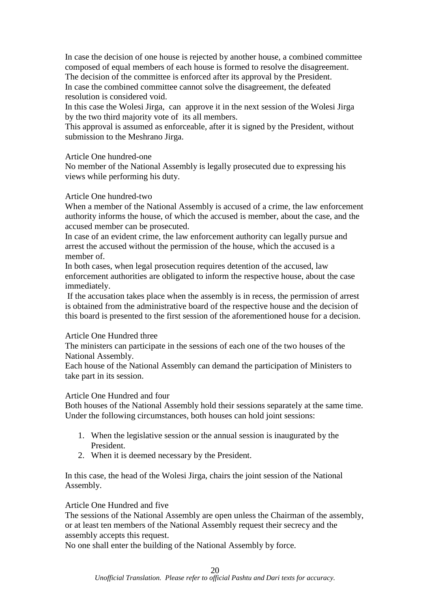In case the decision of one house is rejected by another house, a combined committee composed of equal members of each house is formed to resolve the disagreement. The decision of the committee is enforced after its approval by the President.

In case the combined committee cannot solve the disagreement, the defeated resolution is considered void.

In this case the Wolesi Jirga, can approve it in the next session of the Wolesi Jirga by the two third majority vote of its all members.

This approval is assumed as enforceable, after it is signed by the President, without submission to the Meshrano Jirga.

#### Article One hundred-one

No member of the National Assembly is legally prosecuted due to expressing his views while performing his duty.

#### Article One hundred-two

When a member of the National Assembly is accused of a crime, the law enforcement authority informs the house, of which the accused is member, about the case, and the accused member can be prosecuted.

In case of an evident crime, the law enforcement authority can legally pursue and arrest the accused without the permission of the house, which the accused is a member of.

In both cases, when legal prosecution requires detention of the accused, law enforcement authorities are obligated to inform the respective house, about the case immediately.

 If the accusation takes place when the assembly is in recess, the permission of arrest is obtained from the administrative board of the respective house and the decision of this board is presented to the first session of the aforementioned house for a decision.

#### Article One Hundred three

The ministers can participate in the sessions of each one of the two houses of the National Assembly.

Each house of the National Assembly can demand the participation of Ministers to take part in its session.

### Article One Hundred and four

Both houses of the National Assembly hold their sessions separately at the same time. Under the following circumstances, both houses can hold joint sessions:

- 1. When the legislative session or the annual session is inaugurated by the President.
- 2. When it is deemed necessary by the President.

In this case, the head of the Wolesi Jirga, chairs the joint session of the National Assembly.

Article One Hundred and five

The sessions of the National Assembly are open unless the Chairman of the assembly, or at least ten members of the National Assembly request their secrecy and the assembly accepts this request.

No one shall enter the building of the National Assembly by force.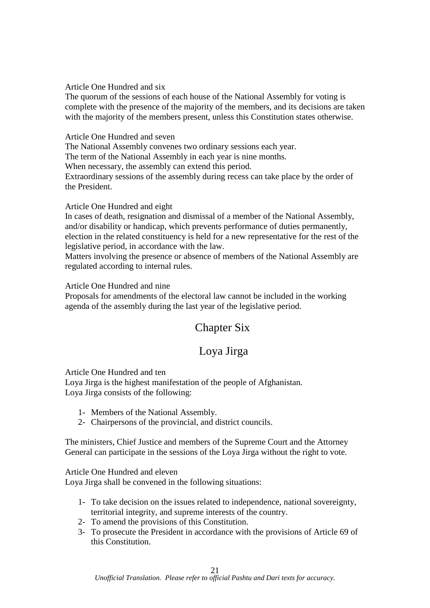#### Article One Hundred and six

The quorum of the sessions of each house of the National Assembly for voting is complete with the presence of the majority of the members, and its decisions are taken with the majority of the members present, unless this Constitution states otherwise.

Article One Hundred and seven The National Assembly convenes two ordinary sessions each year. The term of the National Assembly in each year is nine months. When necessary, the assembly can extend this period. Extraordinary sessions of the assembly during recess can take place by the order of the President.

#### Article One Hundred and eight

In cases of death, resignation and dismissal of a member of the National Assembly, and/or disability or handicap, which prevents performance of duties permanently, election in the related constituency is held for a new representative for the rest of the legislative period, in accordance with the law.

Matters involving the presence or absence of members of the National Assembly are regulated according to internal rules.

#### Article One Hundred and nine

Proposals for amendments of the electoral law cannot be included in the working agenda of the assembly during the last year of the legislative period.

# Chapter Six

# Loya Jirga

Article One Hundred and ten

Loya Jirga is the highest manifestation of the people of Afghanistan. Loya Jirga consists of the following:

- 1- Members of the National Assembly.
- 2- Chairpersons of the provincial, and district councils.

The ministers, Chief Justice and members of the Supreme Court and the Attorney General can participate in the sessions of the Loya Jirga without the right to vote.

Article One Hundred and eleven

Loya Jirga shall be convened in the following situations:

- 1- To take decision on the issues related to independence, national sovereignty, territorial integrity, and supreme interests of the country.
- 2- To amend the provisions of this Constitution.
- 3- To prosecute the President in accordance with the provisions of Article 69 of this Constitution.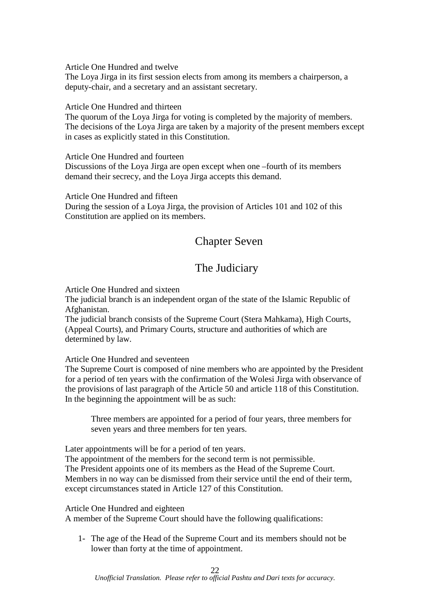Article One Hundred and twelve

The Loya Jirga in its first session elects from among its members a chairperson, a deputy-chair, and a secretary and an assistant secretary.

#### Article One Hundred and thirteen

The quorum of the Loya Jirga for voting is completed by the majority of members. The decisions of the Loya Jirga are taken by a majority of the present members except in cases as explicitly stated in this Constitution.

Article One Hundred and fourteen Discussions of the Loya Jirga are open except when one –fourth of its members

demand their secrecy, and the Loya Jirga accepts this demand.

Article One Hundred and fifteen During the session of a Loya Jirga, the provision of Articles 101 and 102 of this Constitution are applied on its members.

# Chapter Seven

# The Judiciary

Article One Hundred and sixteen

The judicial branch is an independent organ of the state of the Islamic Republic of Afghanistan.

The judicial branch consists of the Supreme Court (Stera Mahkama), High Courts, (Appeal Courts), and Primary Courts, structure and authorities of which are determined by law.

Article One Hundred and seventeen

The Supreme Court is composed of nine members who are appointed by the President for a period of ten years with the confirmation of the Wolesi Jirga with observance of the provisions of last paragraph of the Article 50 and article 118 of this Constitution. In the beginning the appointment will be as such:

Three members are appointed for a period of four years, three members for seven years and three members for ten years.

Later appointments will be for a period of ten years.

The appointment of the members for the second term is not permissible. The President appoints one of its members as the Head of the Supreme Court. Members in no way can be dismissed from their service until the end of their term, except circumstances stated in Article 127 of this Constitution.

Article One Hundred and eighteen

A member of the Supreme Court should have the following qualifications:

1- The age of the Head of the Supreme Court and its members should not be lower than forty at the time of appointment.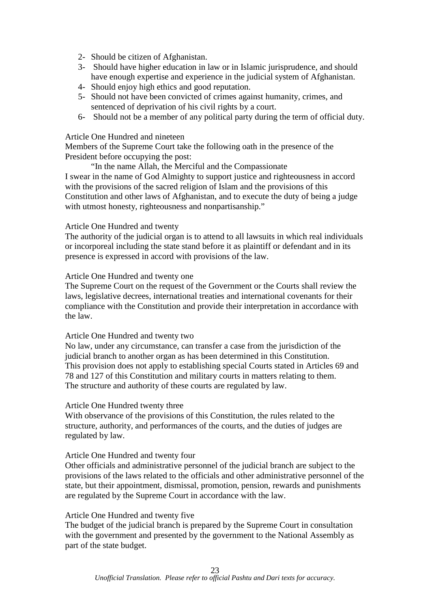- 2- Should be citizen of Afghanistan.
- 3- Should have higher education in law or in Islamic jurisprudence, and should have enough expertise and experience in the judicial system of Afghanistan.
- 4- Should enjoy high ethics and good reputation.
- 5- Should not have been convicted of crimes against humanity, crimes, and sentenced of deprivation of his civil rights by a court.
- 6- Should not be a member of any political party during the term of official duty.

#### Article One Hundred and nineteen

Members of the Supreme Court take the following oath in the presence of the President before occupying the post:

 "In the name Allah, the Merciful and the Compassionate I swear in the name of God Almighty to support justice and righteousness in accord with the provisions of the sacred religion of Islam and the provisions of this Constitution and other laws of Afghanistan, and to execute the duty of being a judge with utmost honesty, righteousness and nonpartisanship."

#### Article One Hundred and twenty

The authority of the judicial organ is to attend to all lawsuits in which real individuals or incorporeal including the state stand before it as plaintiff or defendant and in its presence is expressed in accord with provisions of the law.

#### Article One Hundred and twenty one

The Supreme Court on the request of the Government or the Courts shall review the laws, legislative decrees, international treaties and international covenants for their compliance with the Constitution and provide their interpretation in accordance with the law.

#### Article One Hundred and twenty two

No law, under any circumstance, can transfer a case from the jurisdiction of the judicial branch to another organ as has been determined in this Constitution. This provision does not apply to establishing special Courts stated in Articles 69 and 78 and 127 of this Constitution and military courts in matters relating to them. The structure and authority of these courts are regulated by law.

#### Article One Hundred twenty three

With observance of the provisions of this Constitution, the rules related to the structure, authority, and performances of the courts, and the duties of judges are regulated by law.

#### Article One Hundred and twenty four

Other officials and administrative personnel of the judicial branch are subject to the provisions of the laws related to the officials and other administrative personnel of the state, but their appointment, dismissal, promotion, pension, rewards and punishments are regulated by the Supreme Court in accordance with the law.

#### Article One Hundred and twenty five

The budget of the judicial branch is prepared by the Supreme Court in consultation with the government and presented by the government to the National Assembly as part of the state budget.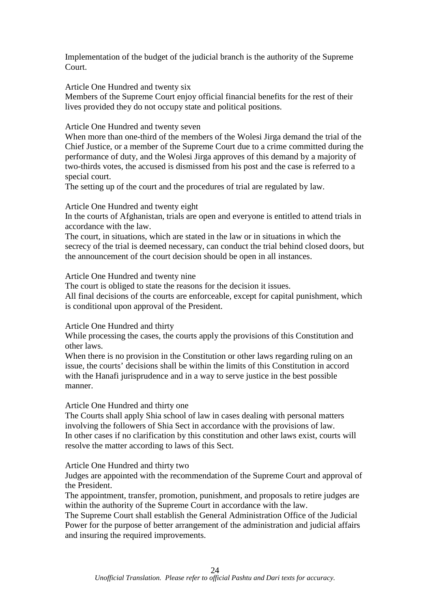Implementation of the budget of the judicial branch is the authority of the Supreme Court.

Article One Hundred and twenty six

Members of the Supreme Court enjoy official financial benefits for the rest of their lives provided they do not occupy state and political positions.

Article One Hundred and twenty seven

When more than one-third of the members of the Wolesi Jirga demand the trial of the Chief Justice, or a member of the Supreme Court due to a crime committed during the performance of duty, and the Wolesi Jirga approves of this demand by a majority of two-thirds votes, the accused is dismissed from his post and the case is referred to a special court.

The setting up of the court and the procedures of trial are regulated by law.

Article One Hundred and twenty eight

In the courts of Afghanistan, trials are open and everyone is entitled to attend trials in accordance with the law.

The court, in situations, which are stated in the law or in situations in which the secrecy of the trial is deemed necessary, can conduct the trial behind closed doors, but the announcement of the court decision should be open in all instances.

#### Article One Hundred and twenty nine

The court is obliged to state the reasons for the decision it issues.

All final decisions of the courts are enforceable, except for capital punishment, which is conditional upon approval of the President.

Article One Hundred and thirty

While processing the cases, the courts apply the provisions of this Constitution and other laws.

When there is no provision in the Constitution or other laws regarding ruling on an issue, the courts' decisions shall be within the limits of this Constitution in accord with the Hanafi jurisprudence and in a way to serve justice in the best possible manner.

Article One Hundred and thirty one

The Courts shall apply Shia school of law in cases dealing with personal matters involving the followers of Shia Sect in accordance with the provisions of law. In other cases if no clarification by this constitution and other laws exist, courts will resolve the matter according to laws of this Sect.

Article One Hundred and thirty two

Judges are appointed with the recommendation of the Supreme Court and approval of the President.

The appointment, transfer, promotion, punishment, and proposals to retire judges are within the authority of the Supreme Court in accordance with the law.

The Supreme Court shall establish the General Administration Office of the Judicial Power for the purpose of better arrangement of the administration and judicial affairs and insuring the required improvements.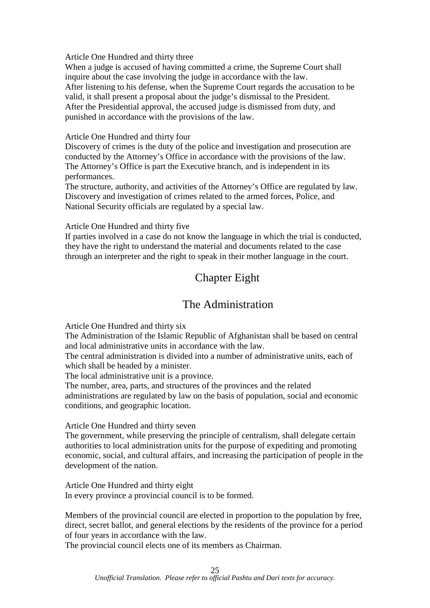Article One Hundred and thirty three

When a judge is accused of having committed a crime, the Supreme Court shall inquire about the case involving the judge in accordance with the law. After listening to his defense, when the Supreme Court regards the accusation to be valid, it shall present a proposal about the judge's dismissal to the President. After the Presidential approval, the accused judge is dismissed from duty, and punished in accordance with the provisions of the law.

Article One Hundred and thirty four

Discovery of crimes is the duty of the police and investigation and prosecution are conducted by the Attorney's Office in accordance with the provisions of the law. The Attorney's Office is part the Executive branch, and is independent in its performances.

The structure, authority, and activities of the Attorney's Office are regulated by law. Discovery and investigation of crimes related to the armed forces, Police, and National Security officials are regulated by a special law.

Article One Hundred and thirty five

If parties involved in a case do not know the language in which the trial is conducted, they have the right to understand the material and documents related to the case through an interpreter and the right to speak in their mother language in the court.

# Chapter Eight

# The Administration

Article One Hundred and thirty six

The Administration of the Islamic Republic of Afghanistan shall be based on central and local administrative units in accordance with the law.

The central administration is divided into a number of administrative units, each of which shall be headed by a minister.

The local administrative unit is a province.

The number, area, parts, and structures of the provinces and the related administrations are regulated by law on the basis of population, social and economic conditions, and geographic location.

Article One Hundred and thirty seven

The government, while preserving the principle of centralism, shall delegate certain authorities to local administration units for the purpose of expediting and promoting economic, social, and cultural affairs, and increasing the participation of people in the development of the nation.

Article One Hundred and thirty eight In every province a provincial council is to be formed.

Members of the provincial council are elected in proportion to the population by free, direct, secret ballot, and general elections by the residents of the province for a period of four years in accordance with the law.

The provincial council elects one of its members as Chairman.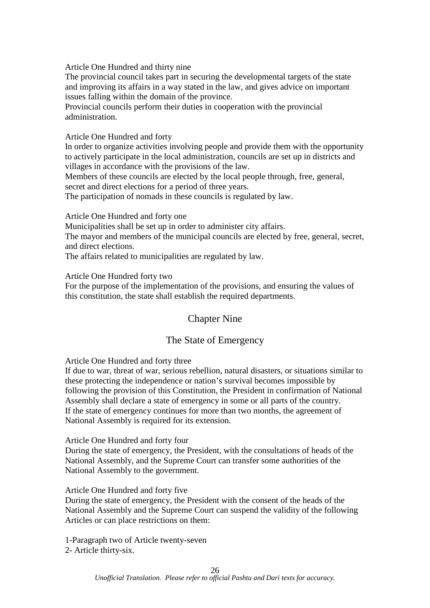Article One Hundred and thirty nine

The provincial council takes part in securing the developmental targets of the state and improving its affairs in a way stated in the law, and gives advice on important issues falling within the domain of the province.

Provincial councils perform their duties in cooperation with the provincial administration.

#### Article One Hundred and forty

In order to organize activities involving people and provide them with the opportunity to actively participate in the local administration, councils are set up in districts and villages in accordance with the provisions of the law.

Members of these councils are elected by the local people through, free, general, secret and direct elections for a period of three years.

The participation of nomads in these councils is regulated by law.

Article One Hundred and forty one

Municipalities shall be set up in order to administer city affairs.

The mayor and members of the municipal councils are elected by free, general, secret, and direct elections.

The affairs related to municipalities are regulated by law.

#### Article One Hundred forty two

For the purpose of the implementation of the provisions, and ensuring the values of this constitution, the state shall establish the required departments.

### Chapter Nine

### The State of Emergency

#### Article One Hundred and forty three

If due to war, threat of war, serious rebellion, natural disasters, or situations similar to these protecting the independence or nation's survival becomes impossible by following the provision of this Constitution, the President in confirmation of National Assembly shall declare a state of emergency in some or all parts of the country. If the state of emergency continues for more than two months, the agreement of National Assembly is required for its extension.

#### Article One Hundred and forty four

During the state of emergency, the President, with the consultations of heads of the National Assembly, and the Supreme Court can transfer some authorities of the National Assembly to the government.

#### Article One Hundred and forty five

During the state of emergency, the President with the consent of the heads of the National Assembly and the Supreme Court can suspend the validity of the following Articles or can place restrictions on them:

1-Paragraph two of Article twenty-seven

2- Article thirty-six.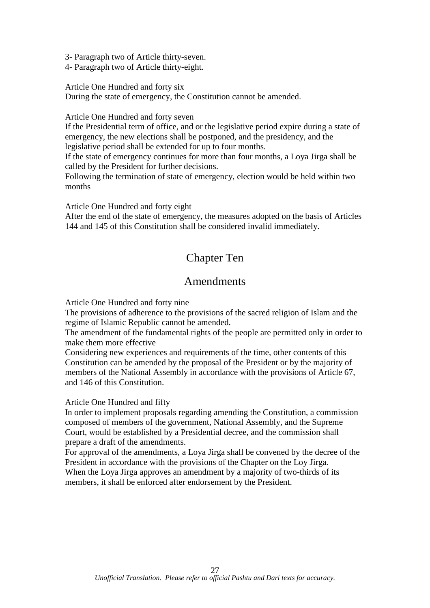3- Paragraph two of Article thirty-seven.

4- Paragraph two of Article thirty-eight.

Article One Hundred and forty six During the state of emergency, the Constitution cannot be amended.

Article One Hundred and forty seven

If the Presidential term of office, and or the legislative period expire during a state of emergency, the new elections shall be postponed, and the presidency, and the legislative period shall be extended for up to four months.

If the state of emergency continues for more than four months, a Loya Jirga shall be called by the President for further decisions.

Following the termination of state of emergency, election would be held within two months

Article One Hundred and forty eight

After the end of the state of emergency, the measures adopted on the basis of Articles 144 and 145 of this Constitution shall be considered invalid immediately.

# Chapter Ten

# **Amendments**

Article One Hundred and forty nine

The provisions of adherence to the provisions of the sacred religion of Islam and the regime of Islamic Republic cannot be amended.

The amendment of the fundamental rights of the people are permitted only in order to make them more effective

Considering new experiences and requirements of the time, other contents of this Constitution can be amended by the proposal of the President or by the majority of members of the National Assembly in accordance with the provisions of Article 67, and 146 of this Constitution.

#### Article One Hundred and fifty

In order to implement proposals regarding amending the Constitution, a commission composed of members of the government, National Assembly, and the Supreme Court, would be established by a Presidential decree, and the commission shall prepare a draft of the amendments.

For approval of the amendments, a Loya Jirga shall be convened by the decree of the President in accordance with the provisions of the Chapter on the Loy Jirga. When the Loya Jirga approves an amendment by a majority of two-thirds of its members, it shall be enforced after endorsement by the President.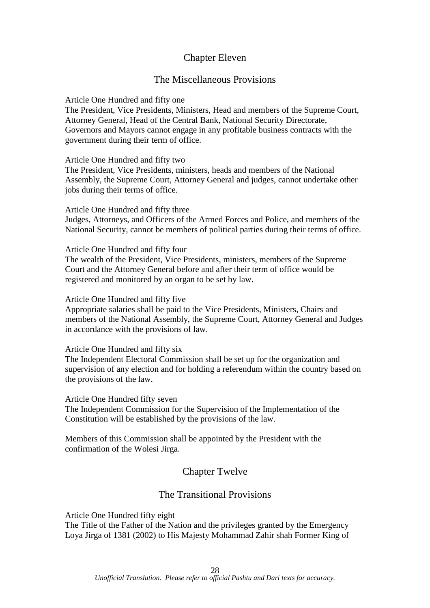# Chapter Eleven

# The Miscellaneous Provisions

#### Article One Hundred and fifty one

The President, Vice Presidents, Ministers, Head and members of the Supreme Court, Attorney General, Head of the Central Bank, National Security Directorate, Governors and Mayors cannot engage in any profitable business contracts with the government during their term of office.

#### Article One Hundred and fifty two

The President, Vice Presidents, ministers, heads and members of the National Assembly, the Supreme Court, Attorney General and judges, cannot undertake other jobs during their terms of office.

Article One Hundred and fifty three Judges, Attorneys, and Officers of the Armed Forces and Police, and members of the National Security, cannot be members of political parties during their terms of office.

#### Article One Hundred and fifty four

The wealth of the President, Vice Presidents, ministers, members of the Supreme Court and the Attorney General before and after their term of office would be registered and monitored by an organ to be set by law.

#### Article One Hundred and fifty five

Appropriate salaries shall be paid to the Vice Presidents, Ministers, Chairs and members of the National Assembly, the Supreme Court, Attorney General and Judges in accordance with the provisions of law.

#### Article One Hundred and fifty six

The Independent Electoral Commission shall be set up for the organization and supervision of any election and for holding a referendum within the country based on the provisions of the law.

#### Article One Hundred fifty seven

The Independent Commission for the Supervision of the Implementation of the Constitution will be established by the provisions of the law.

Members of this Commission shall be appointed by the President with the confirmation of the Wolesi Jirga.

### Chapter Twelve

# The Transitional Provisions

Article One Hundred fifty eight

The Title of the Father of the Nation and the privileges granted by the Emergency Loya Jirga of 1381 (2002) to His Majesty Mohammad Zahir shah Former King of